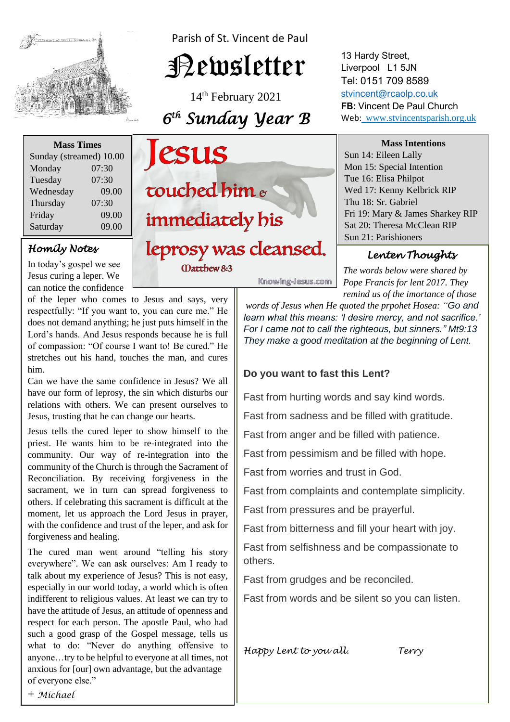

Parish of St. Vincent de Paul

# Newsletter

14th February 2021 *6 th Sunday Year B* 

| <b>Mass Times</b>       |       |
|-------------------------|-------|
| Sunday (streamed) 10.00 |       |
| Monday                  | 07:30 |
| Tuesday                 | 07:30 |
| Wednesday               | 09.00 |
| Thursday                | 07:30 |
| Friday                  | 09.00 |
| Saturday                | 09.00 |

## *Homily Notes*

In today's gospel we see Jesus curing a leper. We can notice the confidence

of the leper who comes to Jesus and says, very does not demand anything; he just puts himself in the<br>Lord's hands. And Jesus responds because he is full stretches out his hand, touches the man, and cures respectfully: "If you want to, you can cure me." He does not demand anything; he just puts himself in the of compassion: "Of course I want to! Be cured." He him.

 $\overline{\phantom{a}}$ 

 Can we have the same confidence in Jesus? We all relations with others. We can present ourselves to have our form of leprosy, the sin which disturbs our Jesus, trusting that he can change our hearts.

Jesus tells the cured leper to show himself to the *community.* Our way of re-integration into the community of the Church is through the Secretary of **EXECONCLUTATION.** By receiving forgiveness in the sacrament, we in turn can spread forgiveness to moment, let us approach the Lord Jesus in prayer, priest. He wants him to be re-integrated into the community of the Church is through the Sacrament of Reconciliation. By receiving forgiveness in the others. If celebrating this sacrament is difficult at the with the confidence and trust of the leper, and ask for forgiveness and healing.

everywhere". We can ask ourselves: Am I ready to especially in our world today, a world which is often have the attitude of Jesus, an attitude of openness and<br>respect for each person. The apostle Paul, who had The cured man went around "telling his story talk about my experience of Jesus? This is not easy, indifferent to religious values. At least we can try to have the attitude of Jesus, an attitude of openness and such a good grasp of the Gospel message, tells us what to do: "Never do anything offensive to anyone…try to be helpful to everyone at all times, not anxious for [our] own advantage, but the advantage of everyone else."



(Datthew 8:3

13 Hardy Street, Liverpool L1 5JN Tel: 0151 709 8589 [stvincent@rcaolp.co.uk](mailto:stvincent@rcaolp.co.uk) **FB:** Vincent De Paul Church Web: www.stvincentsparish.org.uk

#### **Mass Intentions**

Sun 14: Eileen Lally Mon 15: Special Intention Tue 16: Elisa Philpot Wed 17: Kenny Kelbrick RIP Thu 18: Sr. Gabriel Fri 19: Mary & James Sharkey RIP Sat 20: Theresa McClean RIP Sun 21: Parishioners

## *Lenten Thoughts*

 *The words below were shared by Pope Francis for lent 2017. They remind us of the imortance of those*

*words of Jesus when He quoted the prpohet Hosea: "Go and learn what this means: 'I desire mercy, and not sacrifice.' For I came not to call the righteous, but sinners." Mt9:13 They make a good meditation at the beginning of Lent.* 

### **Do you want to fast this Lent?**

Knowing-Jesus.com

Fast from hurting words and say kind words.

Fast from sadness and be filled with gratitude.

Fast from anger and be filled with patience.

Fast from pessimism and be filled with hope.

Fast from worries and trust in God.

Fast from complaints and contemplate simplicity.

Fast from pressures and be prayerful.

Fast from bitterness and fill your heart with joy.

Fast from selfishness and be compassionate to others.

Fast from grudges and be reconciled.

Fast from words and be silent so you can listen.

*Happy Lent to you all. Terry* 

+ *Michael*